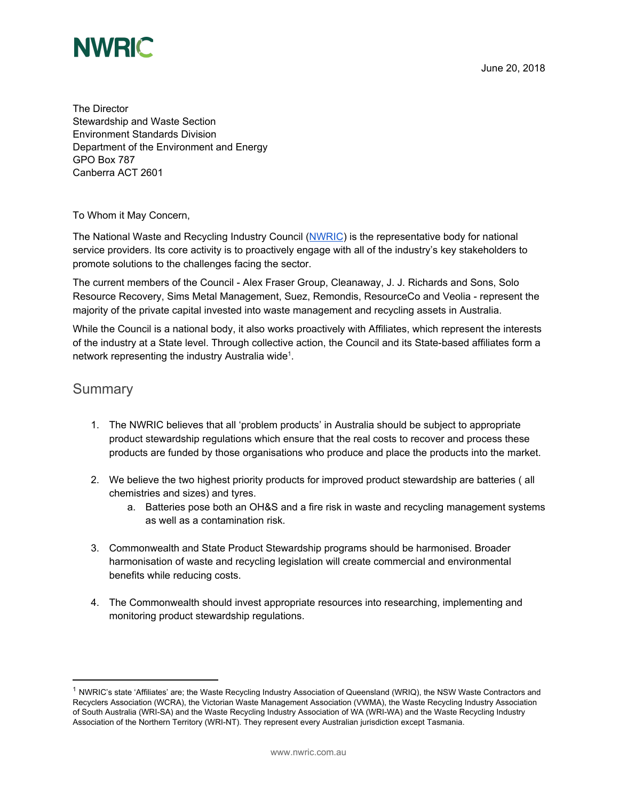

The Director Stewardship and Waste Section Environment Standards Division Department of the Environment and Energy GPO Box 787 Canberra ACT 2601

To Whom it May Concern,

The National Waste and Recycling Industry Council ([NWRIC\)](http://www.nwric.com.au/) is the representative body for national service providers. Its core activity is to proactively engage with all of the industry's key stakeholders to promote solutions to the challenges facing the sector.

The current members of the Council - Alex Fraser Group, Cleanaway, J. J. Richards and Sons, Solo Resource Recovery, Sims Metal Management, Suez, Remondis, ResourceCo and Veolia - represent the majority of the private capital invested into waste management and recycling assets in Australia.

While the Council is a national body, it also works proactively with Affiliates, which represent the interests of the industry at a State level. Through collective action, the Council and its State-based affiliates form a network representing the industry Australia wide<sup>1</sup>.

# **Summary**

- 1. The NWRIC believes that all 'problem products' in Australia should be subject to appropriate product stewardship regulations which ensure that the real costs to recover and process these products are funded by those organisations who produce and place the products into the market.
- 2. We believe the two highest priority products for improved product stewardship are batteries ( all chemistries and sizes) and tyres.
	- a. Batteries pose both an OH&S and a fire risk in waste and recycling management systems as well as a contamination risk.
- 3. Commonwealth and State Product Stewardship programs should be harmonised. Broader harmonisation of waste and recycling legislation will create commercial and environmental benefits while reducing costs.
- 4. The Commonwealth should invest appropriate resources into researching, implementing and monitoring product stewardship regulations.

<sup>&</sup>lt;sup>1</sup> NWRIC's state 'Affiliates' are; the Waste Recycling Industry Association of Queensland (WRIQ), the NSW Waste Contractors and Recyclers Association (WCRA), the Victorian Waste Management Association (VWMA), the Waste Recycling Industry Association of South Australia (WRI-SA) and the Waste Recycling Industry Association of WA (WRI-WA) and the Waste Recycling Industry Association of the Northern Territory (WRI-NT). They represent every Australian jurisdiction except Tasmania.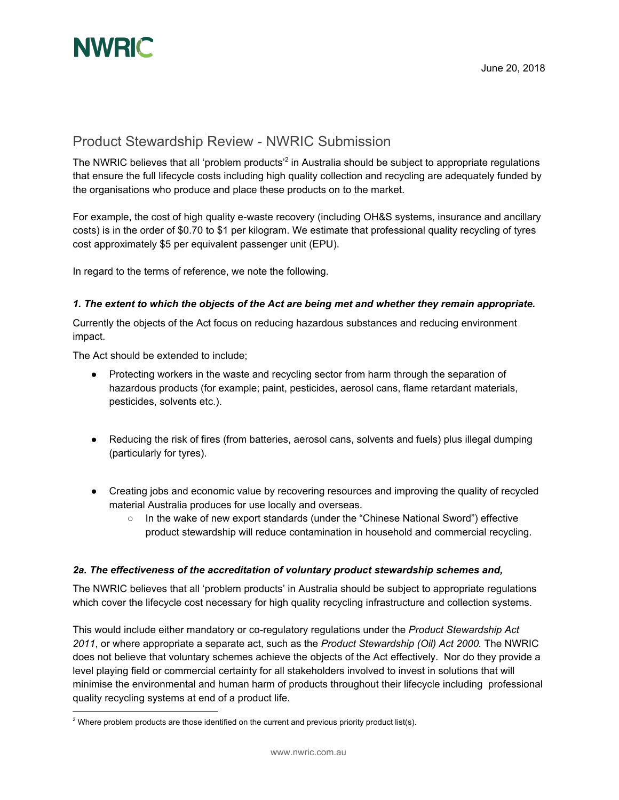

# Product Stewardship Review - NWRIC Submission

The NWRIC believes that all 'problem products'<sup>2</sup> in Australia should be subject to appropriate regulations that ensure the full lifecycle costs including high quality collection and recycling are adequately funded by the organisations who produce and place these products on to the market.

For example, the cost of high quality e-waste recovery (including OH&S systems, insurance and ancillary costs) is in the order of \$0.70 to \$1 per kilogram. We estimate that professional quality recycling of tyres cost approximately \$5 per equivalent passenger unit (EPU).

In regard to the terms of reference, we note the following.

#### *1. The extent to which the objects of the Act are being met and whether they remain appropriate.*

Currently the objects of the Act focus on reducing hazardous substances and reducing environment impact.

The Act should be extended to include;

- Protecting workers in the waste and recycling sector from harm through the separation of hazardous products (for example; paint, pesticides, aerosol cans, flame retardant materials, pesticides, solvents etc.).
- Reducing the risk of fires (from batteries, aerosol cans, solvents and fuels) plus illegal dumping (particularly for tyres).
- Creating jobs and economic value by recovering resources and improving the quality of recycled material Australia produces for use locally and overseas.
	- In the wake of new export standards (under the "Chinese National Sword") effective product stewardship will reduce contamination in household and commercial recycling.

### *2a. The effectiveness of the accreditation of voluntary product stewardship schemes and,*

The NWRIC believes that all 'problem products' in Australia should be subject to appropriate regulations which cover the lifecycle cost necessary for high quality recycling infrastructure and collection systems.

This would include either mandatory or co-regulatory regulations under the *Product Stewardship Act 2011*, or where appropriate a separate act, such as the *Product Stewardship (Oil) Act 2000.* The NWRIC does not believe that voluntary schemes achieve the objects of the Act effectively. Nor do they provide a level playing field or commercial certainty for all stakeholders involved to invest in solutions that will minimise the environmental and human harm of products throughout their lifecycle including professional quality recycling systems at end of a product life.

 $2$  Where problem products are those identified on the current and previous priority product list(s).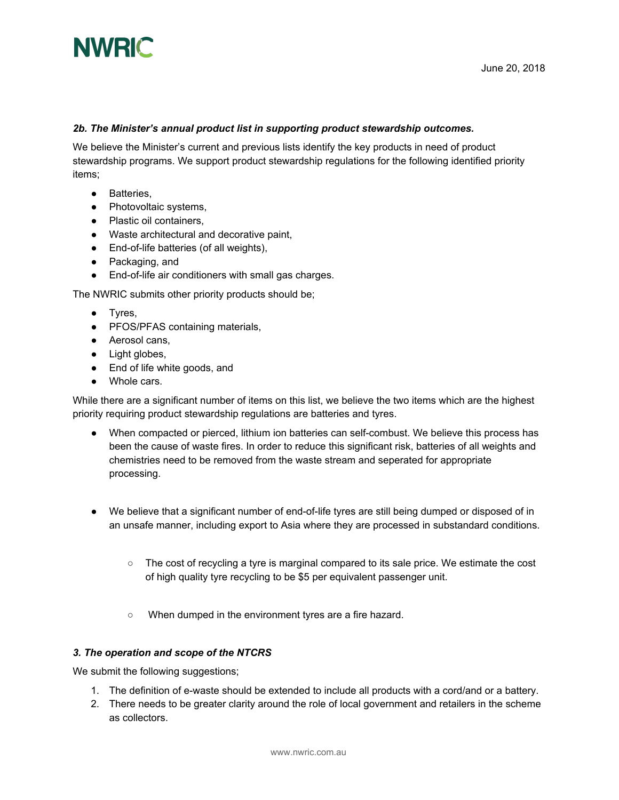

#### *2b. The Minister's annual product list in supporting product stewardship outcomes.*

We believe the Minister's current and previous lists identify the key products in need of product stewardship programs. We support product stewardship regulations for the following identified priority items;

- Batteries,
- Photovoltaic systems,
- Plastic oil containers,
- Waste architectural and decorative paint,
- End-of-life batteries (of all weights),
- Packaging, and
- End-of-life air conditioners with small gas charges.

The NWRIC submits other priority products should be;

- Tyres,
- PFOS/PFAS containing materials,
- Aerosol cans,
- Light globes,
- End of life white goods, and
- Whole cars.

While there are a significant number of items on this list, we believe the two items which are the highest priority requiring product stewardship regulations are batteries and tyres.

- When compacted or pierced, lithium ion batteries can self-combust. We believe this process has been the cause of waste fires. In order to reduce this significant risk, batteries of all weights and chemistries need to be removed from the waste stream and seperated for appropriate processing.
- We believe that a significant number of end-of-life tyres are still being dumped or disposed of in an unsafe manner, including export to Asia where they are processed in substandard conditions.
	- The cost of recycling a tyre is marginal compared to its sale price. We estimate the cost of high quality tyre recycling to be \$5 per equivalent passenger unit.
	- When dumped in the environment tyres are a fire hazard.

#### *3. The operation and scope of the NTCRS*

We submit the following suggestions;

- 1. The definition of e-waste should be extended to include all products with a cord/and or a battery.
- 2. There needs to be greater clarity around the role of local government and retailers in the scheme as collectors.